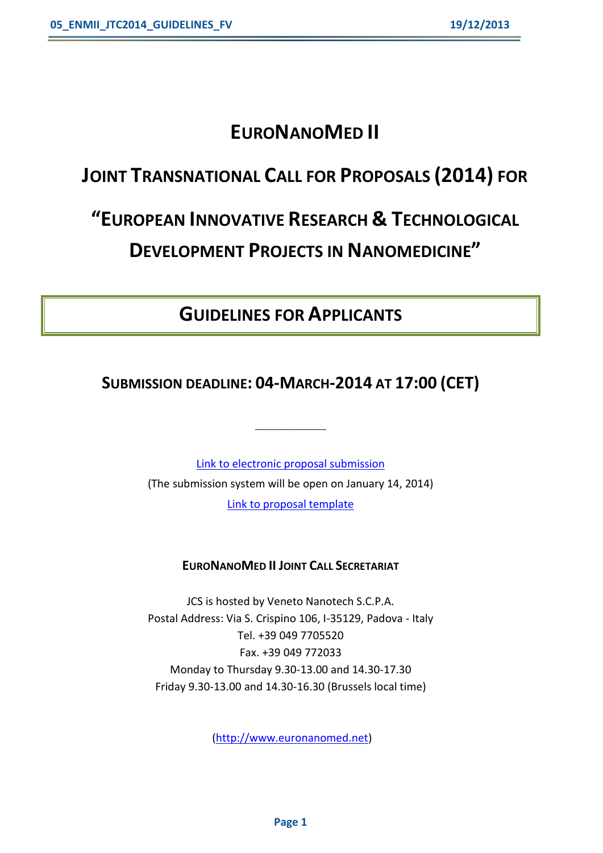# **EURONANOMED II**

# **JOINT TRANSNATIONAL CALL FOR PROPOSALS (2014) FOR**

# **"EUROPEAN INNOVATIVE RESEARCH & TECHNOLOGICAL DEVELOPMENT PROJECTS IN NANOMEDICINE"**

## **GUIDELINES FOR APPLICANTS**

#### **SUBMISSION DEADLINE: 04-MARCH-2014 AT 17:00 (CET)**

**\_\_\_\_\_\_\_\_\_**

[Link to electronic proposal submission](https://www.pt-it.de/ptoutline/application/euronanomed2014) (The submission system will be open on January 14, 2014) [Link to proposal template](http://www.euronanomed.net/)

#### **EURONANOMED II JOINT CALL SECRETARIAT**

JCS is hosted by Veneto Nanotech S.C.P.A. Postal Address: Via S. Crispino 106, I-35129, Padova - Italy Tel. +39 049 7705520 Fax. +39 049 772033 Monday to Thursday 9.30-13.00 and 14.30-17.30 Friday 9.30-13.00 and 14.30-16.30 (Brussels local time)

[\(http://www.euronanomed.net\)](http://www.euronanomed.net/)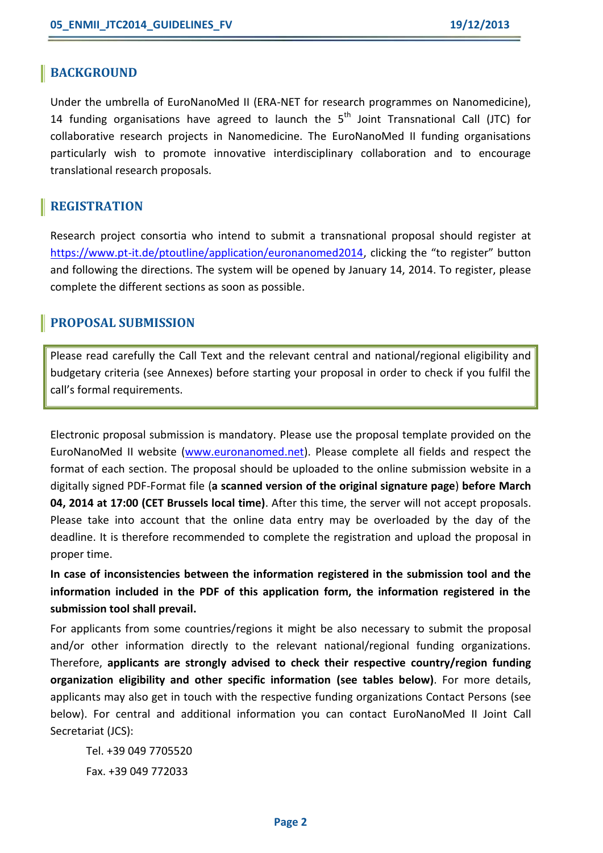#### **BACKGROUND**

Under the umbrella of EuroNanoMed II (ERA-NET for research programmes on Nanomedicine), 14 funding organisations have agreed to launch the 5<sup>th</sup> Joint Transnational Call (JTC) for collaborative research projects in Nanomedicine. The EuroNanoMed II funding organisations particularly wish to promote innovative interdisciplinary collaboration and to encourage translational research proposals.

#### **REGISTRATION**

Research project consortia who intend to submit a transnational proposal should register at [https://www.pt-it.de/ptoutline/application/euronanomed2014,](https://www.pt-it.de/ptoutline/application/euronanomed2014) clicking the "to register" button and following the directions. The system will be opened by January 14, 2014. To register, please complete the different sections as soon as possible.

#### **PROPOSAL SUBMISSION**

Please read carefully the Call Text and the relevant central and national/regional eligibility and budgetary criteria (see Annexes) before starting your proposal in order to check if you fulfil the call's formal requirements.

Electronic proposal submission is mandatory. Please use the proposal template provided on the EuroNanoMed II website [\(www.euronanomed.net\)](file://Si0036v/Recherche/_Direction%20Internationale/Programmes/EuroNanoMed/3.%20Appels/JTC%202014/AppData/Local/Microsoft/Windows/Temporary%20Internet%20Files/Content.Outlook/JLN99GMK/www.euronanomed.net). Please complete all fields and respect the format of each section. The proposal should be uploaded to the online submission website in a digitally signed PDF-Format file (**a scanned version of the original signature page**) **before March 04, 2014 at 17:00 (CET Brussels local time)**. After this time, the server will not accept proposals. Please take into account that the online data entry may be overloaded by the day of the deadline. It is therefore recommended to complete the registration and upload the proposal in proper time.

**In case of inconsistencies between the information registered in the submission tool and the information included in the PDF of this application form, the information registered in the submission tool shall prevail.**

For applicants from some countries/regions it might be also necessary to submit the proposal and/or other information directly to the relevant national/regional funding organizations. Therefore, **applicants are strongly advised to check their respective country/region funding organization eligibility and other specific information (see tables below)**. For more details, applicants may also get in touch with the respective funding organizations Contact Persons (see below). For central and additional information you can contact EuroNanoMed II Joint Call Secretariat (JCS):

Tel. +39 049 7705520 Fax. +39 049 772033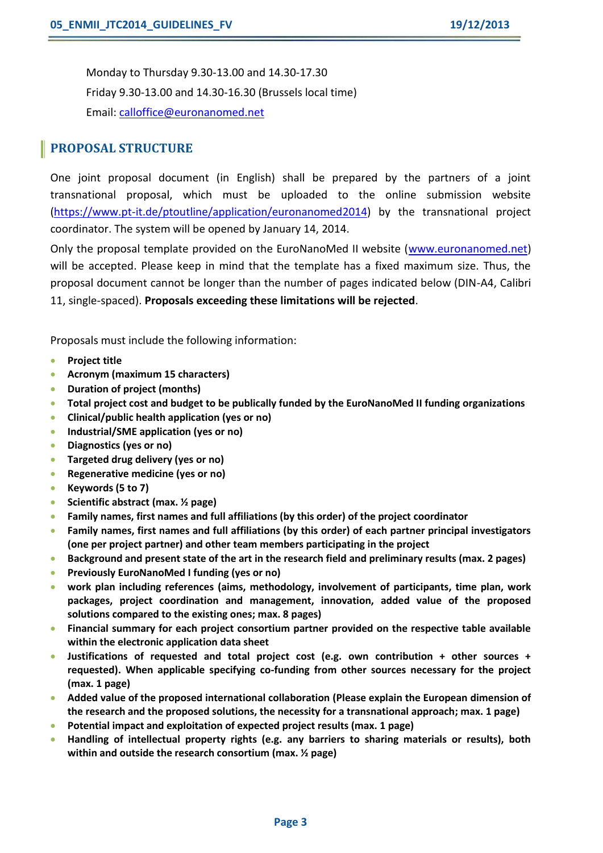Monday to Thursday 9.30-13.00 and 14.30-17.30 Friday 9.30-13.00 and 14.30-16.30 (Brussels local time) Email: [calloffice@euronanomed.net](mailto:calloffice@euronanomed.net)

#### **PROPOSAL STRUCTURE**

One joint proposal document (in English) shall be prepared by the partners of a joint transnational proposal, which must be uploaded to the online submission website [\(https://www.pt-it.de/ptoutline/application/euronanomed2](https://www.pt-it.de/ptoutline/application/euronanomed)014) by the transnational project coordinator. The system will be opened by January 14, 2014.

Only the proposal template provided on the EuroNanoMed II website [\(www.euronanomed.net\)](http://www.euronanomed.net/) will be accepted. Please keep in mind that the template has a fixed maximum size. Thus, the proposal document cannot be longer than the number of pages indicated below (DIN-A4, Calibri 11, single-spaced). **Proposals exceeding these limitations will be rejected**.

Proposals must include the following information:

- **Project title**
- **Acronym (maximum 15 characters)**
- **Duration of project (months)**
- **Total project cost and budget to be publically funded by the EuroNanoMed II funding organizations**
- **Clinical/public health application (yes or no)**
- **Industrial/SME application (yes or no)**
- **Diagnostics (yes or no)**
- **Targeted drug delivery (yes or no)**
- **Regenerative medicine (yes or no)**
- **Keywords (5 to 7)**
- **Scientific abstract (max. ½ page)**
- **Family names, first names and full affiliations (by this order) of the project coordinator**
- **Family names, first names and full affiliations (by this order) of each partner principal investigators (one per project partner) and other team members participating in the project**
- **Background and present state of the art in the research field and preliminary results (max. 2 pages)**
- **Previously EuroNanoMed I funding (yes or no)**
- **work plan including references (aims, methodology, involvement of participants, time plan, work packages, project coordination and management, innovation, added value of the proposed solutions compared to the existing ones; max. 8 pages)**
- **Financial summary for each project consortium partner provided on the respective table available within the electronic application data sheet**
- **Justifications of requested and total project cost (e.g. own contribution + other sources + requested). When applicable specifying co-funding from other sources necessary for the project (max. 1 page)**
- **Added value of the proposed international collaboration (Please explain the European dimension of the research and the proposed solutions, the necessity for a transnational approach; max. 1 page)**
- **Potential impact and exploitation of expected project results (max. 1 page)**
- **Handling of intellectual property rights (e.g. any barriers to sharing materials or results), both within and outside the research consortium (max. ½ page)**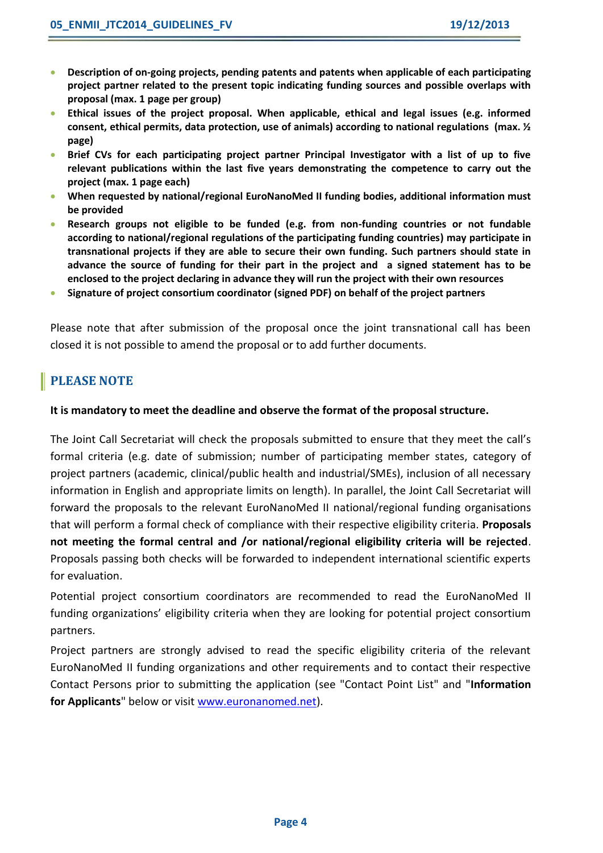- **Description of on-going projects, pending patents and patents when applicable of each participating project partner related to the present topic indicating funding sources and possible overlaps with proposal (max. 1 page per group)**
- **Ethical issues of the project proposal. When applicable, ethical and legal issues (e.g. informed consent, ethical permits, data protection, use of animals) according to national regulations (max. ½ page)**
- **Brief CVs for each participating project partner Principal Investigator with a list of up to five relevant publications within the last five years demonstrating the competence to carry out the project (max. 1 page each)**
- **When requested by national/regional EuroNanoMed II funding bodies, additional information must be provided**
- **Research groups not eligible to be funded (e.g. from non-funding countries or not fundable according to national/regional regulations of the participating funding countries) may participate in transnational projects if they are able to secure their own funding. Such partners should state in advance the source of funding for their part in the project and a signed statement has to be enclosed to the project declaring in advance they will run the project with their own resources**
- **Signature of project consortium coordinator (signed PDF) on behalf of the project partners**

Please note that after submission of the proposal once the joint transnational call has been closed it is not possible to amend the proposal or to add further documents.

#### **PLEASE NOTE**

#### **It is mandatory to meet the deadline and observe the format of the proposal structure.**

The Joint Call Secretariat will check the proposals submitted to ensure that they meet the call's formal criteria (e.g. date of submission; number of participating member states, category of project partners (academic, clinical/public health and industrial/SMEs), inclusion of all necessary information in English and appropriate limits on length). In parallel, the Joint Call Secretariat will forward the proposals to the relevant EuroNanoMed II national/regional funding organisations that will perform a formal check of compliance with their respective eligibility criteria. **Proposals not meeting the formal central and /or national/regional eligibility criteria will be rejected**. Proposals passing both checks will be forwarded to independent international scientific experts for evaluation.

Potential project consortium coordinators are recommended to read the EuroNanoMed II funding organizations' eligibility criteria when they are looking for potential project consortium partners.

Project partners are strongly advised to read the specific eligibility criteria of the relevant EuroNanoMed II funding organizations and other requirements and to contact their respective Contact Persons prior to submitting the application (see "Contact Point List" and "**Information for Applicants**" below or visit [www.euronanomed.net\)](file://Si0036v/Recherche/_Direction%20Internationale/Programmes/EuroNanoMed/3.%20Appels/JTC%202014/AppData/Local/Microsoft/Windows/Temporary%20Internet%20Files/Content.Outlook/JLN99GMK/www.euronanomed.net).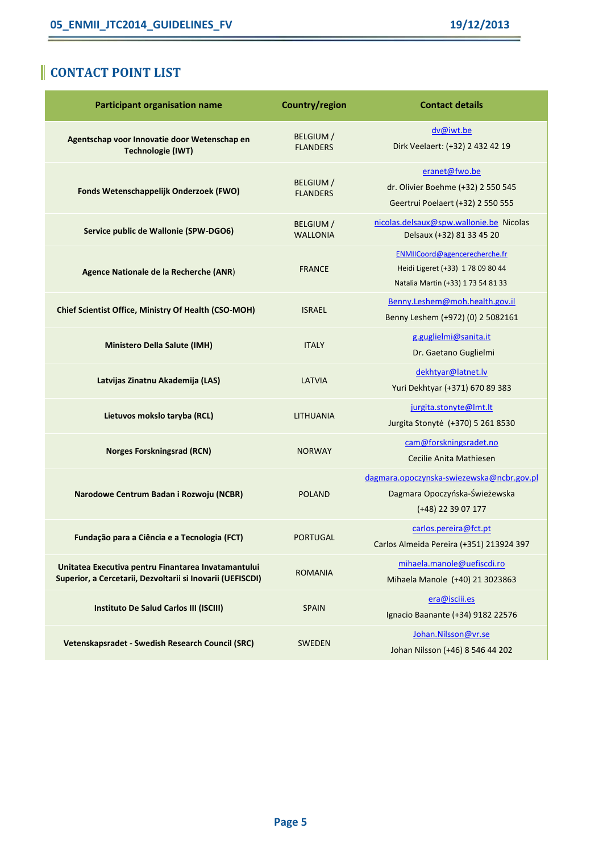ŕ

### **CONTACT POINT LIST**

| <b>Participant organisation name</b>                                                                              | Country/region                      | <b>Contact details</b>                                                                                   |
|-------------------------------------------------------------------------------------------------------------------|-------------------------------------|----------------------------------------------------------------------------------------------------------|
| Agentschap voor Innovatie door Wetenschap en<br><b>Technologie (IWT)</b>                                          | <b>BELGIUM</b> /<br><b>FLANDERS</b> | dv@iwt.be<br>Dirk Veelaert: (+32) 2 432 42 19                                                            |
| Fonds Wetenschappelijk Onderzoek (FWO)                                                                            | <b>BELGIUM</b> /<br><b>FLANDERS</b> | eranet@fwo.be<br>dr. Olivier Boehme (+32) 2 550 545<br>Geertrui Poelaert (+32) 2 550 555                 |
| Service public de Wallonie (SPW-DGO6)                                                                             | <b>BELGIUM/</b><br><b>WALLONIA</b>  | nicolas.delsaux@spw.wallonie.be Nicolas<br>Delsaux (+32) 81 33 45 20                                     |
| Agence Nationale de la Recherche (ANR)                                                                            | <b>FRANCE</b>                       | ENMIICoord@agencerecherche.fr<br>Heidi Ligeret (+33) 1 78 09 80 44<br>Natalia Martin (+33) 1 73 54 81 33 |
| Chief Scientist Office, Ministry Of Health (CSO-MOH)                                                              | <b>ISRAEL</b>                       | Benny.Leshem@moh.health.gov.il<br>Benny Leshem (+972) (0) 2 5082161                                      |
| <b>Ministero Della Salute (IMH)</b>                                                                               | <b>ITALY</b>                        | g.guglielmi@sanita.it<br>Dr. Gaetano Guglielmi                                                           |
| Latvijas Zinatnu Akademija (LAS)                                                                                  | <b>LATVIA</b>                       | dekhtyar@latnet.lv<br>Yuri Dekhtyar (+371) 670 89 383                                                    |
| Lietuvos mokslo taryba (RCL)                                                                                      | LITHUANIA                           | jurgita.stonyte@lmt.lt<br>Jurgita Stonytė (+370) 5 261 8530                                              |
| <b>Norges Forskningsrad (RCN)</b>                                                                                 | <b>NORWAY</b>                       | cam@forskningsradet.no<br>Cecilie Anita Mathiesen                                                        |
| Narodowe Centrum Badan i Rozwoju (NCBR)                                                                           | <b>POLAND</b>                       | dagmara.opoczynska-swiezewska@ncbr.gov.pl<br>Dagmara Opoczyńska-Świeżewska<br>(+48) 22 39 07 177         |
| Fundação para a Ciência e a Tecnologia (FCT)                                                                      | <b>PORTUGAL</b>                     | carlos.pereira@fct.pt<br>Carlos Almeida Pereira (+351) 213924 397                                        |
| Unitatea Executiva pentru Finantarea Invatamantului<br>Superior, a Cercetarii, Dezvoltarii si Inovarii (UEFISCDI) | <b>ROMANIA</b>                      | mihaela.manole@uefiscdi.ro<br>Mihaela Manole (+40) 21 3023863                                            |
| Instituto De Salud Carlos III (ISCIII)                                                                            | <b>SPAIN</b>                        | era@isciii.es<br>Ignacio Baanante (+34) 9182 22576                                                       |
| Vetenskapsradet - Swedish Research Council (SRC)                                                                  | <b>SWEDEN</b>                       | Johan.Nilsson@vr.se<br>Johan Nilsson (+46) 8 546 44 202                                                  |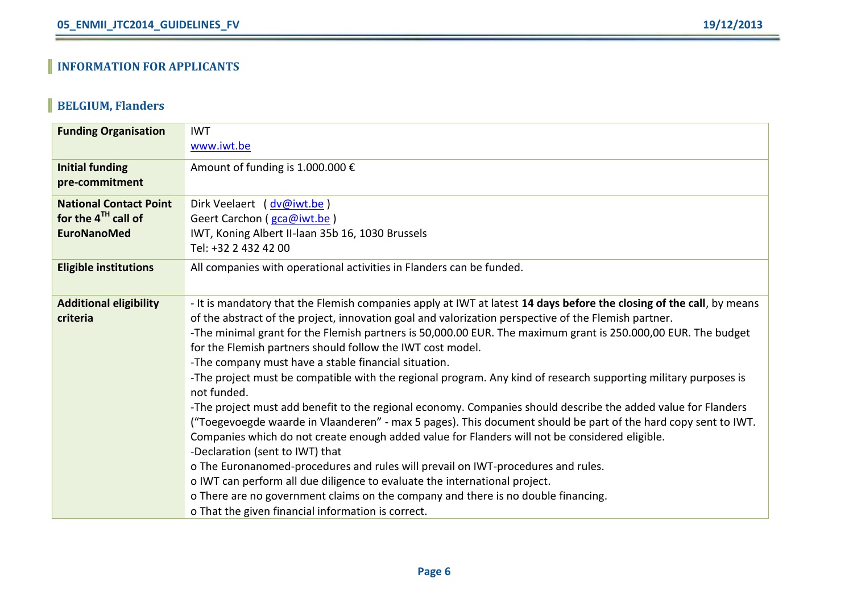### **BELGIUM, Flanders**

| <b>Funding Organisation</b>   | <b>IWT</b>                                                                                                                     |
|-------------------------------|--------------------------------------------------------------------------------------------------------------------------------|
|                               | www.iwt.be                                                                                                                     |
| <b>Initial funding</b>        | Amount of funding is 1.000.000 €                                                                                               |
| pre-commitment                |                                                                                                                                |
| <b>National Contact Point</b> | Dirk Veelaert (dv@iwt.be)                                                                                                      |
| for the $4TH$ call of         | Geert Carchon (gca@iwt.be)                                                                                                     |
| <b>EuroNanoMed</b>            | IWT, Koning Albert II-laan 35b 16, 1030 Brussels                                                                               |
|                               | Tel: +32 2 432 42 00                                                                                                           |
| <b>Eligible institutions</b>  | All companies with operational activities in Flanders can be funded.                                                           |
|                               |                                                                                                                                |
| <b>Additional eligibility</b> | - It is mandatory that the Flemish companies apply at IWT at latest 14 days before the closing of the call, by means           |
| criteria                      | of the abstract of the project, innovation goal and valorization perspective of the Flemish partner.                           |
|                               | -The minimal grant for the Flemish partners is 50,000.00 EUR. The maximum grant is 250.000,00 EUR. The budget                  |
|                               | for the Flemish partners should follow the IWT cost model.                                                                     |
|                               | -The company must have a stable financial situation.                                                                           |
|                               | -The project must be compatible with the regional program. Any kind of research supporting military purposes is<br>not funded. |
|                               | -The project must add benefit to the regional economy. Companies should describe the added value for Flanders                  |
|                               | ("Toegevoegde waarde in Vlaanderen" - max 5 pages). This document should be part of the hard copy sent to IWT.                 |
|                               | Companies which do not create enough added value for Flanders will not be considered eligible.                                 |
|                               | -Declaration (sent to IWT) that                                                                                                |
|                               | o The Euronanomed-procedures and rules will prevail on IWT-procedures and rules.                                               |
|                               | o IWT can perform all due diligence to evaluate the international project.                                                     |
|                               | o There are no government claims on the company and there is no double financing.                                              |
|                               | o That the given financial information is correct.                                                                             |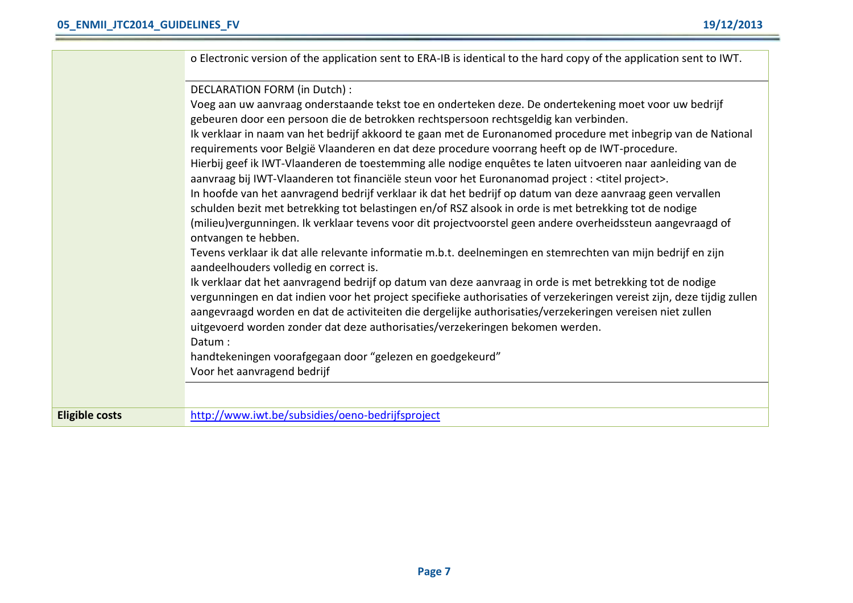|                       | o Electronic version of the application sent to ERA-IB is identical to the hard copy of the application sent to IWT.                                                                                                                                                                                                                             |
|-----------------------|--------------------------------------------------------------------------------------------------------------------------------------------------------------------------------------------------------------------------------------------------------------------------------------------------------------------------------------------------|
|                       | DECLARATION FORM (in Dutch) :                                                                                                                                                                                                                                                                                                                    |
|                       | Voeg aan uw aanvraag onderstaande tekst toe en onderteken deze. De ondertekening moet voor uw bedrijf                                                                                                                                                                                                                                            |
|                       | gebeuren door een persoon die de betrokken rechtspersoon rechtsgeldig kan verbinden.                                                                                                                                                                                                                                                             |
|                       | Ik verklaar in naam van het bedrijf akkoord te gaan met de Euronanomed procedure met inbegrip van de National                                                                                                                                                                                                                                    |
|                       | requirements voor België Vlaanderen en dat deze procedure voorrang heeft op de IWT-procedure.                                                                                                                                                                                                                                                    |
|                       | Hierbij geef ik IWT-Vlaanderen de toestemming alle nodige enquêtes te laten uitvoeren naar aanleiding van de                                                                                                                                                                                                                                     |
|                       | aanvraag bij IWT-Vlaanderen tot financiële steun voor het Euronanomad project : <titel project="">.</titel>                                                                                                                                                                                                                                      |
|                       | In hoofde van het aanvragend bedrijf verklaar ik dat het bedrijf op datum van deze aanvraag geen vervallen                                                                                                                                                                                                                                       |
|                       | schulden bezit met betrekking tot belastingen en/of RSZ alsook in orde is met betrekking tot de nodige                                                                                                                                                                                                                                           |
|                       | (milieu)vergunningen. Ik verklaar tevens voor dit projectvoorstel geen andere overheidssteun aangevraagd of<br>ontvangen te hebben.                                                                                                                                                                                                              |
|                       | Tevens verklaar ik dat alle relevante informatie m.b.t. deelnemingen en stemrechten van mijn bedrijf en zijn<br>aandeelhouders volledig en correct is.                                                                                                                                                                                           |
|                       | Ik verklaar dat het aanvragend bedrijf op datum van deze aanvraag in orde is met betrekking tot de nodige<br>vergunningen en dat indien voor het project specifieke authorisaties of verzekeringen vereist zijn, deze tijdig zullen<br>aangevraagd worden en dat de activiteiten die dergelijke authorisaties/verzekeringen vereisen niet zullen |
|                       | uitgevoerd worden zonder dat deze authorisaties/verzekeringen bekomen werden.                                                                                                                                                                                                                                                                    |
|                       | Datum:                                                                                                                                                                                                                                                                                                                                           |
|                       | handtekeningen voorafgegaan door "gelezen en goedgekeurd"                                                                                                                                                                                                                                                                                        |
|                       | Voor het aanvragend bedrijf                                                                                                                                                                                                                                                                                                                      |
|                       |                                                                                                                                                                                                                                                                                                                                                  |
| <b>Eligible costs</b> | http://www.iwt.be/subsidies/oeno-bedrijfsproject                                                                                                                                                                                                                                                                                                 |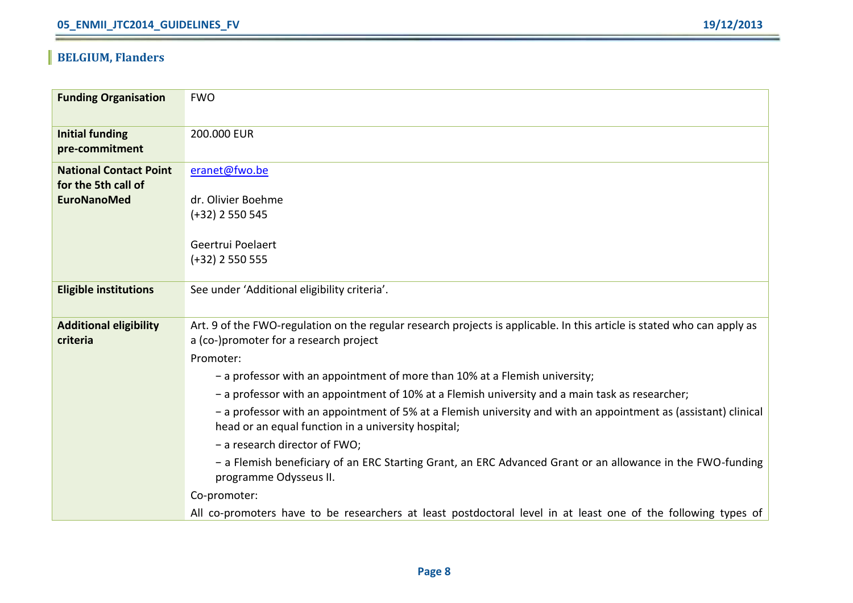### **BELGIUM, Flanders**

| <b>Funding Organisation</b>   | <b>FWO</b>                                                                                                              |
|-------------------------------|-------------------------------------------------------------------------------------------------------------------------|
|                               |                                                                                                                         |
| <b>Initial funding</b>        | 200.000 EUR                                                                                                             |
| pre-commitment                |                                                                                                                         |
| <b>National Contact Point</b> | eranet@fwo.be                                                                                                           |
| for the 5th call of           |                                                                                                                         |
| <b>EuroNanoMed</b>            | dr. Olivier Boehme                                                                                                      |
|                               | $(+32)$ 2 550 545                                                                                                       |
|                               | Geertrui Poelaert                                                                                                       |
|                               | $(+32)$ 2 550 555                                                                                                       |
|                               |                                                                                                                         |
| <b>Eligible institutions</b>  | See under 'Additional eligibility criteria'.                                                                            |
|                               |                                                                                                                         |
| <b>Additional eligibility</b> | Art. 9 of the FWO-regulation on the regular research projects is applicable. In this article is stated who can apply as |
| criteria                      | a (co-)promoter for a research project                                                                                  |
|                               | Promoter:                                                                                                               |
|                               | - a professor with an appointment of more than 10% at a Flemish university;                                             |
|                               | - a professor with an appointment of 10% at a Flemish university and a main task as researcher;                         |
|                               | - a professor with an appointment of 5% at a Flemish university and with an appointment as (assistant) clinical         |
|                               | head or an equal function in a university hospital;                                                                     |
|                               | - a research director of FWO;                                                                                           |
|                               | - a Flemish beneficiary of an ERC Starting Grant, an ERC Advanced Grant or an allowance in the FWO-funding              |
|                               | programme Odysseus II.                                                                                                  |
|                               | Co-promoter:                                                                                                            |
|                               | All co-promoters have to be researchers at least postdoctoral level in at least one of the following types of           |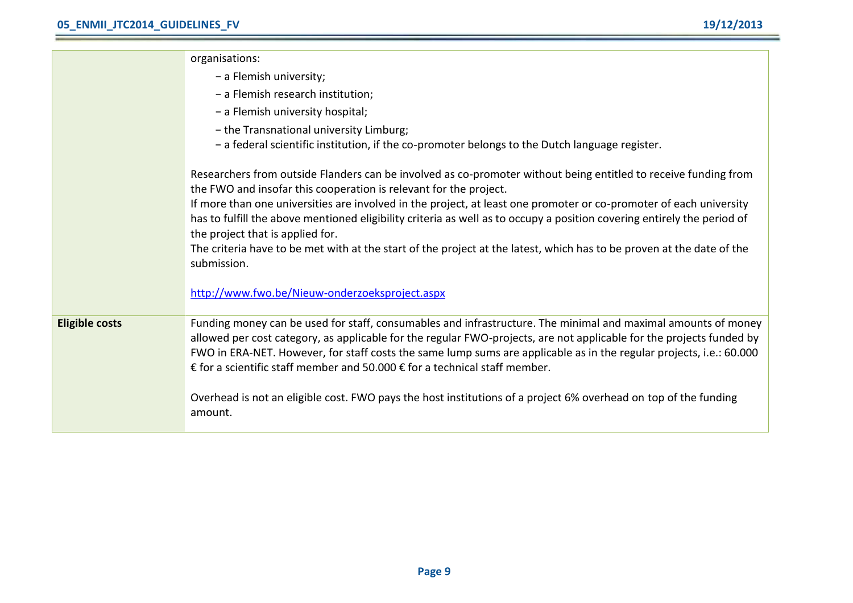|                       | organisations:                                                                                                                                                                                                                                                                                                                                                                                                                             |
|-----------------------|--------------------------------------------------------------------------------------------------------------------------------------------------------------------------------------------------------------------------------------------------------------------------------------------------------------------------------------------------------------------------------------------------------------------------------------------|
|                       | - a Flemish university;                                                                                                                                                                                                                                                                                                                                                                                                                    |
|                       | - a Flemish research institution;                                                                                                                                                                                                                                                                                                                                                                                                          |
|                       | - a Flemish university hospital;                                                                                                                                                                                                                                                                                                                                                                                                           |
|                       | - the Transnational university Limburg;                                                                                                                                                                                                                                                                                                                                                                                                    |
|                       | - a federal scientific institution, if the co-promoter belongs to the Dutch language register.                                                                                                                                                                                                                                                                                                                                             |
|                       | Researchers from outside Flanders can be involved as co-promoter without being entitled to receive funding from<br>the FWO and insofar this cooperation is relevant for the project.                                                                                                                                                                                                                                                       |
|                       | If more than one universities are involved in the project, at least one promoter or co-promoter of each university<br>has to fulfill the above mentioned eligibility criteria as well as to occupy a position covering entirely the period of<br>the project that is applied for.                                                                                                                                                          |
|                       | The criteria have to be met with at the start of the project at the latest, which has to be proven at the date of the<br>submission.                                                                                                                                                                                                                                                                                                       |
|                       | http://www.fwo.be/Nieuw-onderzoeksproject.aspx                                                                                                                                                                                                                                                                                                                                                                                             |
| <b>Eligible costs</b> | Funding money can be used for staff, consumables and infrastructure. The minimal and maximal amounts of money<br>allowed per cost category, as applicable for the regular FWO-projects, are not applicable for the projects funded by<br>FWO in ERA-NET. However, for staff costs the same lump sums are applicable as in the regular projects, i.e.: 60.000<br>€ for a scientific staff member and 50.000 € for a technical staff member. |
|                       | Overhead is not an eligible cost. FWO pays the host institutions of a project 6% overhead on top of the funding<br>amount.                                                                                                                                                                                                                                                                                                                 |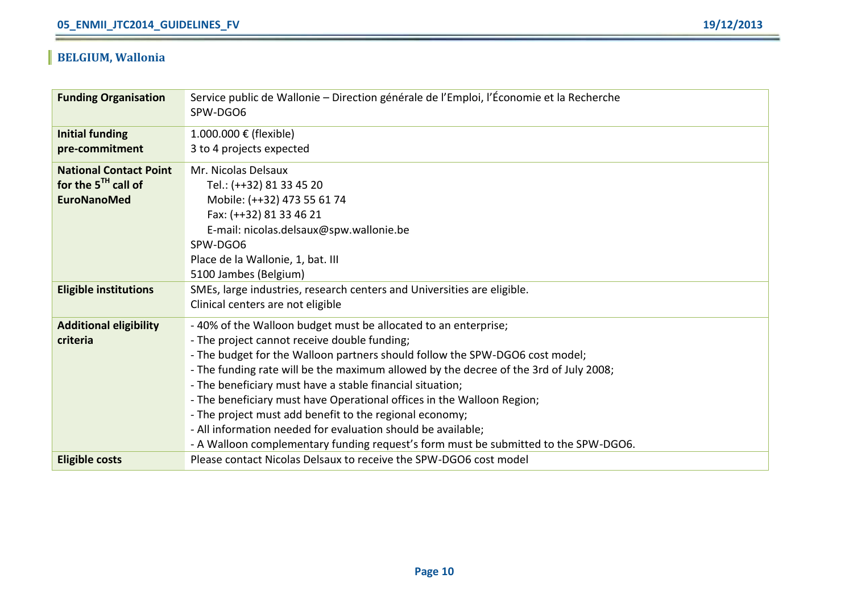### **BELGIUM, Wallonia**

| <b>Funding Organisation</b>   | Service public de Wallonie – Direction générale de l'Emploi, l'Économie et la Recherche<br>SPW-DGO6 |
|-------------------------------|-----------------------------------------------------------------------------------------------------|
|                               |                                                                                                     |
| <b>Initial funding</b>        | 1.000.000 € (flexible)                                                                              |
| pre-commitment                | 3 to 4 projects expected                                                                            |
| <b>National Contact Point</b> | Mr. Nicolas Delsaux                                                                                 |
| for the $5TH$ call of         | Tel.: (++32) 81 33 45 20                                                                            |
| <b>EuroNanoMed</b>            | Mobile: (++32) 473 55 61 74                                                                         |
|                               | Fax: (++32) 81 33 46 21                                                                             |
|                               | E-mail: nicolas.delsaux@spw.wallonie.be                                                             |
|                               | SPW-DGO6                                                                                            |
|                               | Place de la Wallonie, 1, bat. III                                                                   |
|                               | 5100 Jambes (Belgium)                                                                               |
| <b>Eligible institutions</b>  | SMEs, large industries, research centers and Universities are eligible.                             |
|                               | Clinical centers are not eligible                                                                   |
| <b>Additional eligibility</b> | - 40% of the Walloon budget must be allocated to an enterprise;                                     |
| criteria                      | - The project cannot receive double funding;                                                        |
|                               | - The budget for the Walloon partners should follow the SPW-DGO6 cost model;                        |
|                               | - The funding rate will be the maximum allowed by the decree of the 3rd of July 2008;               |
|                               | - The beneficiary must have a stable financial situation;                                           |
|                               | - The beneficiary must have Operational offices in the Walloon Region;                              |
|                               | - The project must add benefit to the regional economy;                                             |
|                               | - All information needed for evaluation should be available;                                        |
|                               | - A Walloon complementary funding request's form must be submitted to the SPW-DGO6.                 |
| <b>Eligible costs</b>         | Please contact Nicolas Delsaux to receive the SPW-DGO6 cost model                                   |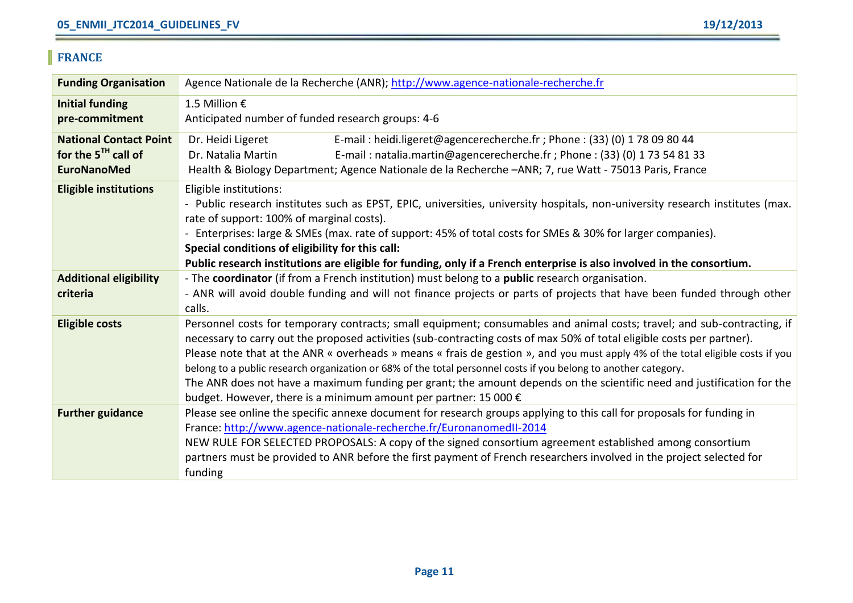### **FRANCE**

| <b>Funding Organisation</b>              | Agence Nationale de la Recherche (ANR); http://www.agence-nationale-recherche.fr                                               |
|------------------------------------------|--------------------------------------------------------------------------------------------------------------------------------|
| <b>Initial funding</b><br>pre-commitment | 1.5 Million €<br>Anticipated number of funded research groups: 4-6                                                             |
|                                          |                                                                                                                                |
| <b>National Contact Point</b>            | E-mail: heidi.ligeret@agencerecherche.fr; Phone: (33) (0) 1 78 09 80 44<br>Dr. Heidi Ligeret                                   |
| for the $5^{TH}$ call of                 | Dr. Natalia Martin<br>E-mail: natalia.martin@agencerecherche.fr; Phone: (33) (0) 173 54 81 33                                  |
| <b>EuroNanoMed</b>                       | Health & Biology Department; Agence Nationale de la Recherche -ANR; 7, rue Watt - 75013 Paris, France                          |
| <b>Eligible institutions</b>             | Eligible institutions:                                                                                                         |
|                                          | - Public research institutes such as EPST, EPIC, universities, university hospitals, non-university research institutes (max.  |
|                                          | rate of support: 100% of marginal costs).                                                                                      |
|                                          | - Enterprises: large & SMEs (max. rate of support: 45% of total costs for SMEs & 30% for larger companies).                    |
|                                          | Special conditions of eligibility for this call:                                                                               |
|                                          | Public research institutions are eligible for funding, only if a French enterprise is also involved in the consortium.         |
| <b>Additional eligibility</b>            | - The coordinator (if from a French institution) must belong to a public research organisation.                                |
| criteria                                 | - ANR will avoid double funding and will not finance projects or parts of projects that have been funded through other         |
|                                          | calls.                                                                                                                         |
| <b>Eligible costs</b>                    | Personnel costs for temporary contracts; small equipment; consumables and animal costs; travel; and sub-contracting, if        |
|                                          | necessary to carry out the proposed activities (sub-contracting costs of max 50% of total eligible costs per partner).         |
|                                          | Please note that at the ANR « overheads » means « frais de gestion », and you must apply 4% of the total eligible costs if you |
|                                          | belong to a public research organization or 68% of the total personnel costs if you belong to another category.                |
|                                          | The ANR does not have a maximum funding per grant; the amount depends on the scientific need and justification for the         |
|                                          | budget. However, there is a minimum amount per partner: 15 000 $\epsilon$                                                      |
| <b>Further guidance</b>                  | Please see online the specific annexe document for research groups applying to this call for proposals for funding in          |
|                                          | France: http://www.agence-nationale-recherche.fr/EuronanomedII-2014                                                            |
|                                          | NEW RULE FOR SELECTED PROPOSALS: A copy of the signed consortium agreement established among consortium                        |
|                                          | partners must be provided to ANR before the first payment of French researchers involved in the project selected for           |
|                                          | funding                                                                                                                        |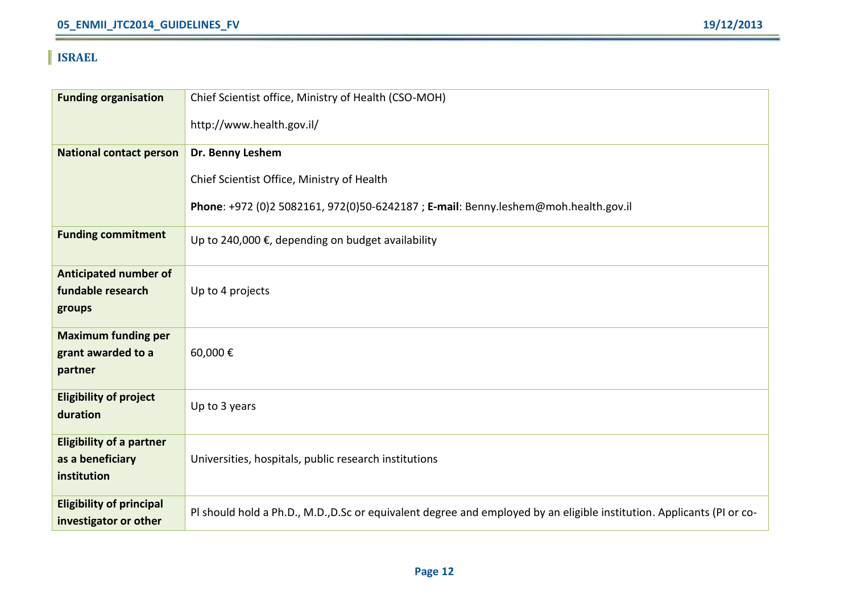### **ISRAEL**

| <b>Funding organisation</b>                              | Chief Scientist office, Ministry of Health (CSO-MOH)                                                                   |
|----------------------------------------------------------|------------------------------------------------------------------------------------------------------------------------|
|                                                          | http://www.health.gov.il/                                                                                              |
| <b>National contact person</b>                           | Dr. Benny Leshem                                                                                                       |
|                                                          | Chief Scientist Office, Ministry of Health                                                                             |
|                                                          | Phone: +972 (0)2 5082161, 972(0)50-6242187; E-mail: Benny.leshem@moh.health.gov.il                                     |
| <b>Funding commitment</b>                                | Up to 240,000 €, depending on budget availability                                                                      |
| <b>Anticipated number of</b>                             |                                                                                                                        |
| fundable research<br>groups                              | Up to 4 projects                                                                                                       |
| <b>Maximum funding per</b>                               |                                                                                                                        |
| grant awarded to a<br>partner                            | 60,000€                                                                                                                |
| <b>Eligibility of project</b><br>duration                | Up to 3 years                                                                                                          |
| <b>Eligibility of a partner</b>                          |                                                                                                                        |
| as a beneficiary<br>institution                          | Universities, hospitals, public research institutions                                                                  |
| <b>Eligibility of principal</b><br>investigator or other | PI should hold a Ph.D., M.D., D.Sc or equivalent degree and employed by an eligible institution. Applicants (PI or co- |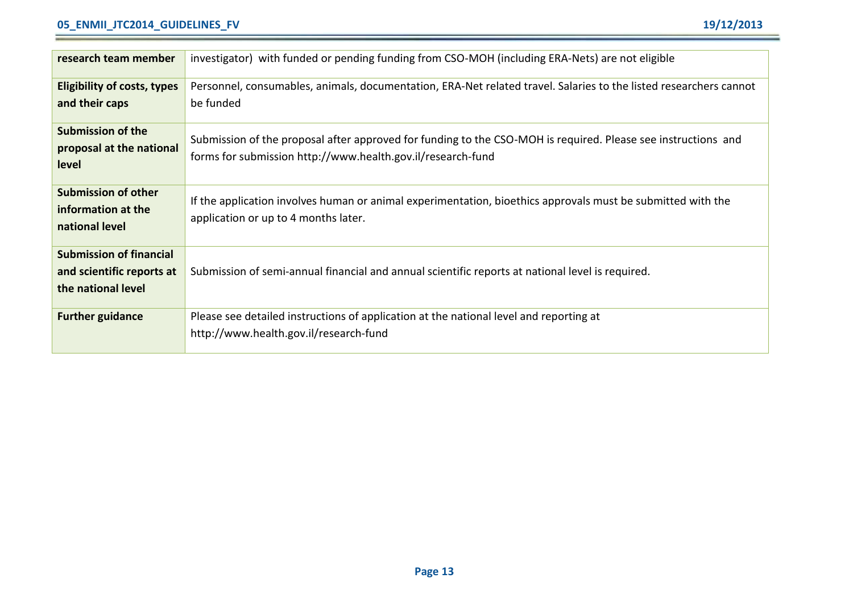#### **05\_ENMII\_JTC2014\_GUIDELINES\_FV 19/12/2013**

| research team member                             | investigator) with funded or pending funding from CSO-MOH (including ERA-Nets) are not eligible                   |
|--------------------------------------------------|-------------------------------------------------------------------------------------------------------------------|
| Eligibility of costs, types                      | Personnel, consumables, animals, documentation, ERA-Net related travel. Salaries to the listed researchers cannot |
| and their caps                                   | be funded                                                                                                         |
| Submission of the<br>proposal at the national    | Submission of the proposal after approved for funding to the CSO-MOH is required. Please see instructions and     |
| level                                            | forms for submission http://www.health.gov.il/research-fund                                                       |
|                                                  |                                                                                                                   |
| <b>Submission of other</b><br>information at the | If the application involves human or animal experimentation, bioethics approvals must be submitted with the       |
| national level                                   | application or up to 4 months later.                                                                              |
|                                                  |                                                                                                                   |
| <b>Submission of financial</b>                   |                                                                                                                   |
| and scientific reports at<br>the national level  | Submission of semi-annual financial and annual scientific reports at national level is required.                  |
|                                                  |                                                                                                                   |
| <b>Further guidance</b>                          | Please see detailed instructions of application at the national level and reporting at                            |
|                                                  | http://www.health.gov.il/research-fund                                                                            |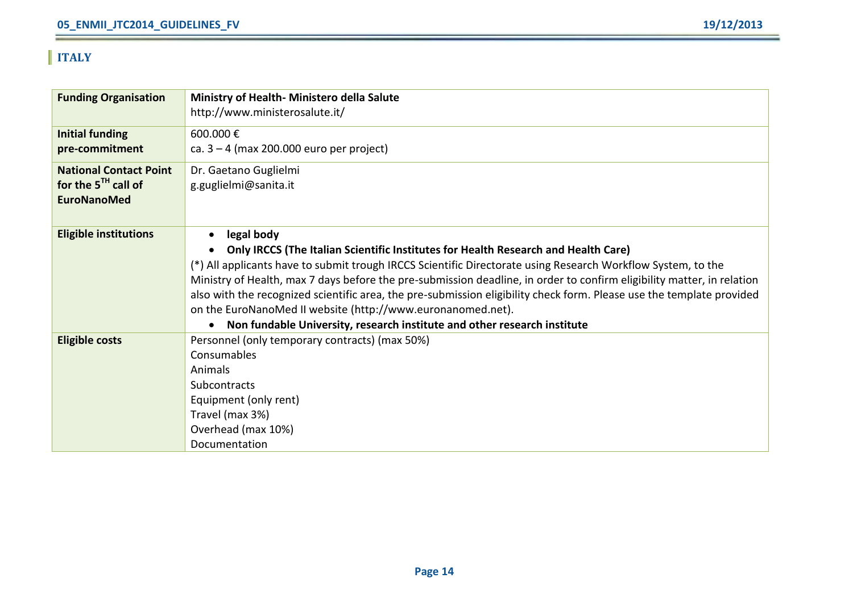### **ITALY**

| <b>Funding Organisation</b>   | Ministry of Health- Ministero della Salute                                                                             |
|-------------------------------|------------------------------------------------------------------------------------------------------------------------|
|                               | http://www.ministerosalute.it/                                                                                         |
| <b>Initial funding</b>        | 600.000€                                                                                                               |
| pre-commitment                | ca. $3 - 4$ (max 200.000 euro per project)                                                                             |
| <b>National Contact Point</b> | Dr. Gaetano Guglielmi                                                                                                  |
| for the $5^{th}$ call of      | g.guglielmi@sanita.it                                                                                                  |
| <b>EuroNanoMed</b>            |                                                                                                                        |
|                               |                                                                                                                        |
| <b>Eligible institutions</b>  | legal body<br>٠                                                                                                        |
|                               | Only IRCCS (The Italian Scientific Institutes for Health Research and Health Care)                                     |
|                               | (*) All applicants have to submit trough IRCCS Scientific Directorate using Research Workflow System, to the           |
|                               | Ministry of Health, max 7 days before the pre-submission deadline, in order to confirm eligibility matter, in relation |
|                               | also with the recognized scientific area, the pre-submission eligibility check form. Please use the template provided  |
|                               | on the EuroNanoMed II website (http://www.euronanomed.net).                                                            |
|                               | Non fundable University, research institute and other research institute<br>$\bullet$                                  |
| <b>Eligible costs</b>         | Personnel (only temporary contracts) (max 50%)                                                                         |
|                               | Consumables                                                                                                            |
|                               | Animals                                                                                                                |
|                               | Subcontracts                                                                                                           |
|                               | Equipment (only rent)                                                                                                  |
|                               | Travel (max 3%)                                                                                                        |
|                               | Overhead (max 10%)                                                                                                     |
|                               | Documentation                                                                                                          |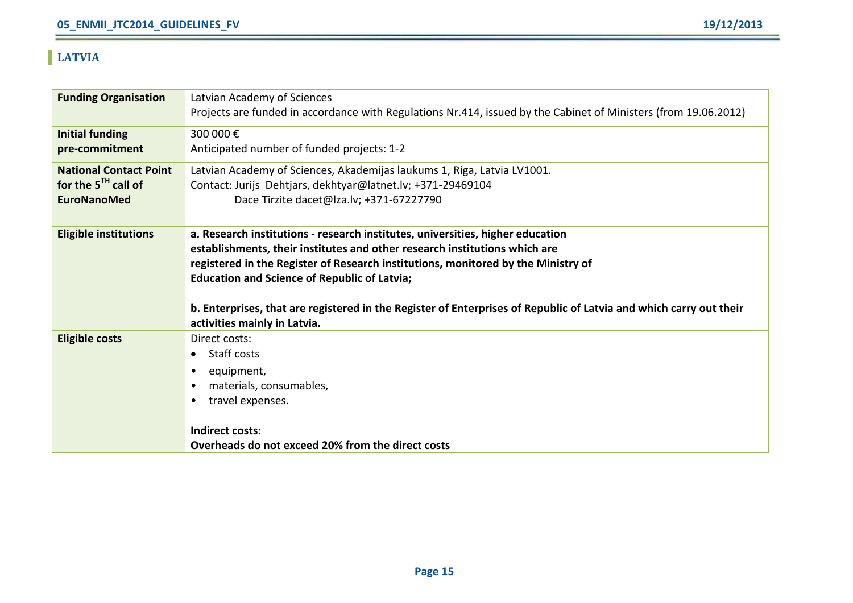### **LATVIA**

| <b>Funding Organisation</b>   | Latvian Academy of Sciences                                                                                        |
|-------------------------------|--------------------------------------------------------------------------------------------------------------------|
|                               | Projects are funded in accordance with Regulations Nr.414, issued by the Cabinet of Ministers (from 19.06.2012)    |
| <b>Initial funding</b>        | 300 000€                                                                                                           |
| pre-commitment                | Anticipated number of funded projects: 1-2                                                                         |
| <b>National Contact Point</b> | Latvian Academy of Sciences, Akademijas laukums 1, Riga, Latvia LV1001.                                            |
| for the $5TH$ call of         | Contact: Jurijs Dehtjars, dekhtyar@latnet.lv; +371-29469104                                                        |
| <b>EuroNanoMed</b>            | Dace Tirzite dacet@lza.lv; +371-67227790                                                                           |
|                               |                                                                                                                    |
| <b>Eligible institutions</b>  | a. Research institutions - research institutes, universities, higher education                                     |
|                               | establishments, their institutes and other research institutions which are                                         |
|                               | registered in the Register of Research institutions, monitored by the Ministry of                                  |
|                               | <b>Education and Science of Republic of Latvia;</b>                                                                |
|                               |                                                                                                                    |
|                               | b. Enterprises, that are registered in the Register of Enterprises of Republic of Latvia and which carry out their |
|                               | activities mainly in Latvia.                                                                                       |
| <b>Eligible costs</b>         | Direct costs:                                                                                                      |
|                               | Staff costs<br>$\bullet$                                                                                           |
|                               | equipment,                                                                                                         |
|                               | materials, consumables,                                                                                            |
|                               | travel expenses.                                                                                                   |
|                               | <b>Indirect costs:</b>                                                                                             |
|                               | Overheads do not exceed 20% from the direct costs                                                                  |
|                               |                                                                                                                    |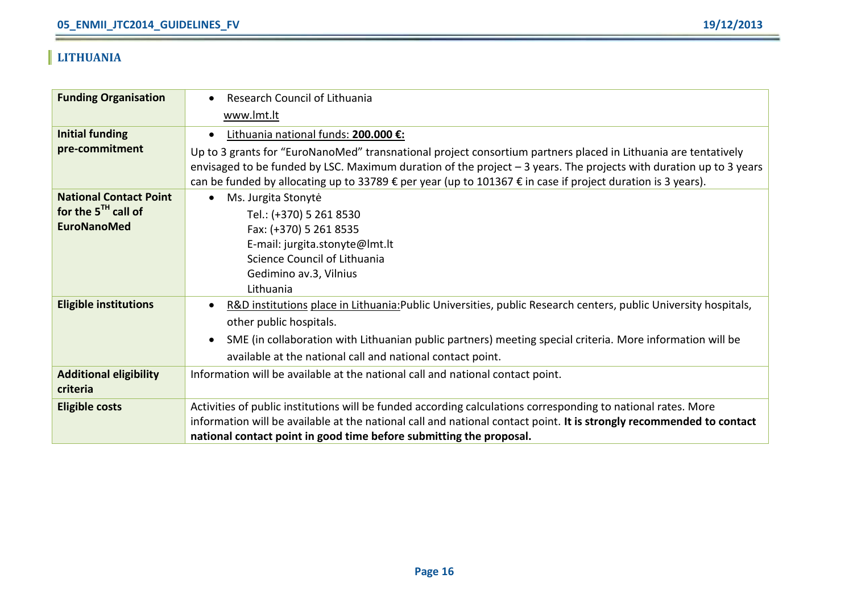### **LITHUANIA**

| <b>Funding Organisation</b>   | Research Council of Lithuania<br>$\bullet$                                                                             |
|-------------------------------|------------------------------------------------------------------------------------------------------------------------|
|                               | www.lmt.lt                                                                                                             |
| <b>Initial funding</b>        | Lithuania national funds: 200.000 €:<br>$\bullet$                                                                      |
| pre-commitment                | Up to 3 grants for "EuroNanoMed" transnational project consortium partners placed in Lithuania are tentatively         |
|                               | envisaged to be funded by LSC. Maximum duration of the project $-3$ years. The projects with duration up to 3 years    |
|                               | can be funded by allocating up to 33789 € per year (up to 101367 € in case if project duration is 3 years).            |
| <b>National Contact Point</b> | Ms. Jurgita Stonytė<br>$\bullet$                                                                                       |
| for the $5^{TH}$ call of      | Tel.: (+370) 5 261 8530                                                                                                |
| <b>EuroNanoMed</b>            | Fax: (+370) 5 261 8535                                                                                                 |
|                               | E-mail: jurgita.stonyte@lmt.lt                                                                                         |
|                               | Science Council of Lithuania                                                                                           |
|                               | Gedimino av.3, Vilnius                                                                                                 |
|                               | Lithuania                                                                                                              |
| <b>Eligible institutions</b>  | R&D institutions place in Lithuania: Public Universities, public Research centers, public University hospitals,<br>٠   |
|                               | other public hospitals.                                                                                                |
|                               | SME (in collaboration with Lithuanian public partners) meeting special criteria. More information will be<br>$\bullet$ |
|                               | available at the national call and national contact point.                                                             |
| <b>Additional eligibility</b> | Information will be available at the national call and national contact point.                                         |
| criteria                      |                                                                                                                        |
| <b>Eligible costs</b>         | Activities of public institutions will be funded according calculations corresponding to national rates. More          |
|                               | information will be available at the national call and national contact point. It is strongly recommended to contact   |
|                               | national contact point in good time before submitting the proposal.                                                    |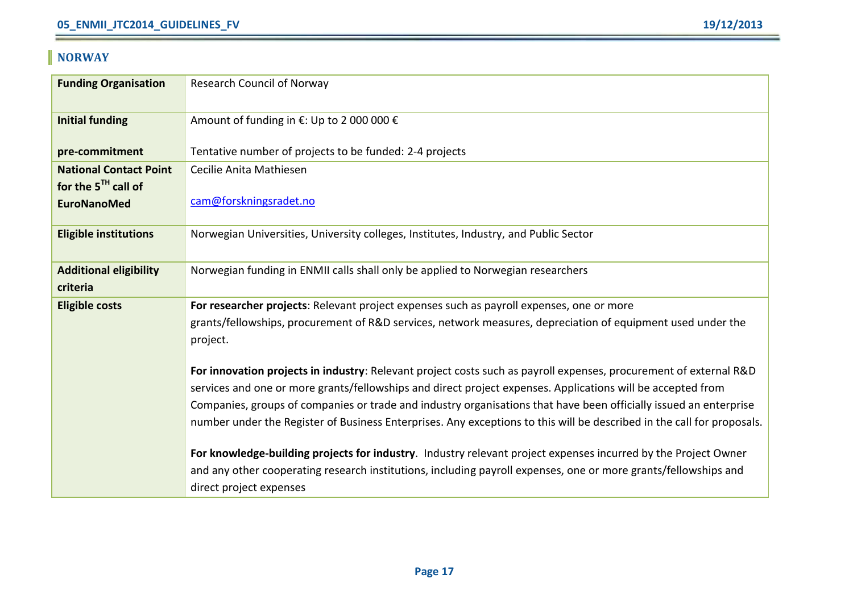### **NORWAY**

| <b>Funding Organisation</b>                    | Research Council of Norway                                                                                                                                                                                                                                                                                                                                                                                                                                                      |
|------------------------------------------------|---------------------------------------------------------------------------------------------------------------------------------------------------------------------------------------------------------------------------------------------------------------------------------------------------------------------------------------------------------------------------------------------------------------------------------------------------------------------------------|
| <b>Initial funding</b>                         | Amount of funding in €: Up to 2 000 000 €                                                                                                                                                                                                                                                                                                                                                                                                                                       |
| pre-commitment                                 | Tentative number of projects to be funded: 2-4 projects                                                                                                                                                                                                                                                                                                                                                                                                                         |
| <b>National Contact Point</b>                  | Cecilie Anita Mathiesen                                                                                                                                                                                                                                                                                                                                                                                                                                                         |
| for the $5^{TH}$ call of<br><b>EuroNanoMed</b> | cam@forskningsradet.no                                                                                                                                                                                                                                                                                                                                                                                                                                                          |
| <b>Eligible institutions</b>                   | Norwegian Universities, University colleges, Institutes, Industry, and Public Sector                                                                                                                                                                                                                                                                                                                                                                                            |
| <b>Additional eligibility</b>                  | Norwegian funding in ENMII calls shall only be applied to Norwegian researchers                                                                                                                                                                                                                                                                                                                                                                                                 |
| criteria                                       |                                                                                                                                                                                                                                                                                                                                                                                                                                                                                 |
| <b>Eligible costs</b>                          | For researcher projects: Relevant project expenses such as payroll expenses, one or more                                                                                                                                                                                                                                                                                                                                                                                        |
|                                                | grants/fellowships, procurement of R&D services, network measures, depreciation of equipment used under the                                                                                                                                                                                                                                                                                                                                                                     |
|                                                | project.                                                                                                                                                                                                                                                                                                                                                                                                                                                                        |
|                                                | For innovation projects in industry: Relevant project costs such as payroll expenses, procurement of external R&D<br>services and one or more grants/fellowships and direct project expenses. Applications will be accepted from<br>Companies, groups of companies or trade and industry organisations that have been officially issued an enterprise<br>number under the Register of Business Enterprises. Any exceptions to this will be described in the call for proposals. |
|                                                |                                                                                                                                                                                                                                                                                                                                                                                                                                                                                 |
|                                                | For knowledge-building projects for industry. Industry relevant project expenses incurred by the Project Owner                                                                                                                                                                                                                                                                                                                                                                  |
|                                                | and any other cooperating research institutions, including payroll expenses, one or more grants/fellowships and                                                                                                                                                                                                                                                                                                                                                                 |
|                                                | direct project expenses                                                                                                                                                                                                                                                                                                                                                                                                                                                         |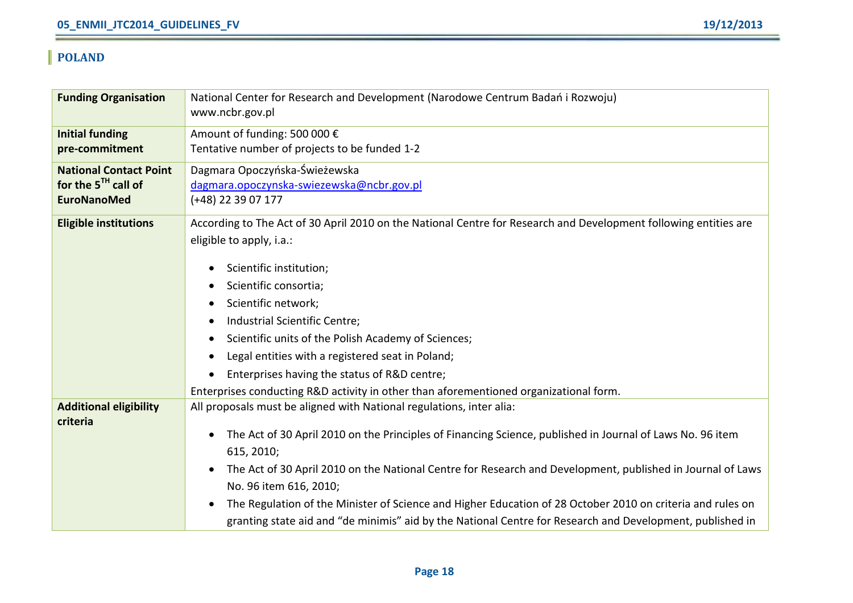### **POLAND**

| <b>Funding Organisation</b>               | National Center for Research and Development (Narodowe Centrum Badań i Rozwoju)                                         |
|-------------------------------------------|-------------------------------------------------------------------------------------------------------------------------|
|                                           | www.ncbr.gov.pl                                                                                                         |
| <b>Initial funding</b>                    | Amount of funding: 500 000 €                                                                                            |
| pre-commitment                            | Tentative number of projects to be funded 1-2                                                                           |
| <b>National Contact Point</b>             | Dagmara Opoczyńska-Świeżewska                                                                                           |
| for the $5^{TH}$ call of                  | dagmara.opoczynska-swiezewska@ncbr.gov.pl                                                                               |
| <b>EuroNanoMed</b>                        | $(+48)$ 22 39 07 177                                                                                                    |
| <b>Eligible institutions</b>              | According to The Act of 30 April 2010 on the National Centre for Research and Development following entities are        |
|                                           | eligible to apply, i.a.:                                                                                                |
|                                           | Scientific institution;<br>٠                                                                                            |
|                                           | Scientific consortia;<br>$\bullet$                                                                                      |
|                                           | Scientific network;<br>٠                                                                                                |
|                                           | Industrial Scientific Centre;<br>$\bullet$                                                                              |
|                                           |                                                                                                                         |
|                                           | Scientific units of the Polish Academy of Sciences;                                                                     |
|                                           | Legal entities with a registered seat in Poland;                                                                        |
|                                           | Enterprises having the status of R&D centre;                                                                            |
|                                           | Enterprises conducting R&D activity in other than aforementioned organizational form.                                   |
| <b>Additional eligibility</b><br>criteria | All proposals must be aligned with National regulations, inter alia:                                                    |
|                                           | The Act of 30 April 2010 on the Principles of Financing Science, published in Journal of Laws No. 96 item               |
|                                           | 615, 2010;                                                                                                              |
|                                           | The Act of 30 April 2010 on the National Centre for Research and Development, published in Journal of Laws<br>$\bullet$ |
|                                           | No. 96 item 616, 2010;                                                                                                  |
|                                           | The Regulation of the Minister of Science and Higher Education of 28 October 2010 on criteria and rules on<br>٠         |
|                                           | granting state aid and "de minimis" aid by the National Centre for Research and Development, published in               |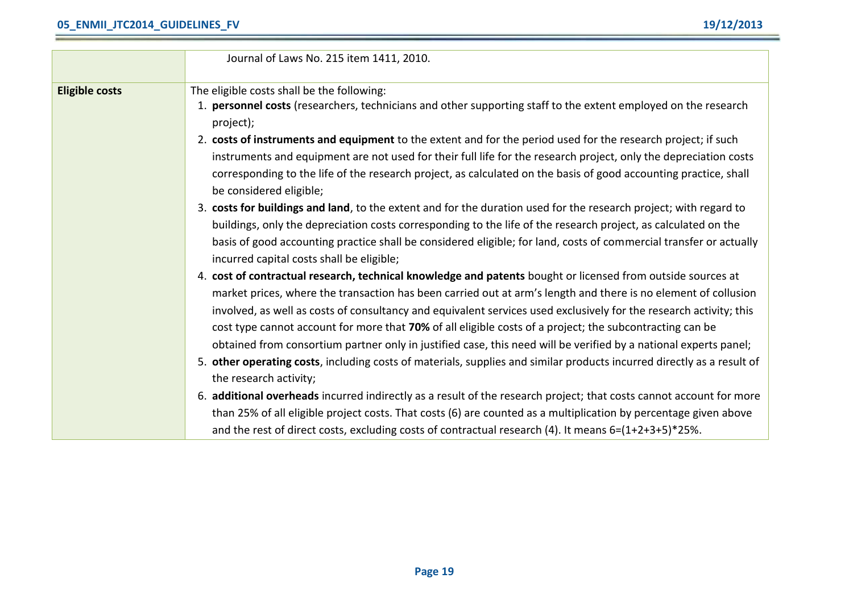|                       | Journal of Laws No. 215 item 1411, 2010.                                                                               |
|-----------------------|------------------------------------------------------------------------------------------------------------------------|
|                       |                                                                                                                        |
| <b>Eligible costs</b> | The eligible costs shall be the following:                                                                             |
|                       | 1. personnel costs (researchers, technicians and other supporting staff to the extent employed on the research         |
|                       | project);                                                                                                              |
|                       | 2. costs of instruments and equipment to the extent and for the period used for the research project; if such          |
|                       | instruments and equipment are not used for their full life for the research project, only the depreciation costs       |
|                       | corresponding to the life of the research project, as calculated on the basis of good accounting practice, shall       |
|                       | be considered eligible;                                                                                                |
|                       | 3. costs for buildings and land, to the extent and for the duration used for the research project; with regard to      |
|                       | buildings, only the depreciation costs corresponding to the life of the research project, as calculated on the         |
|                       | basis of good accounting practice shall be considered eligible; for land, costs of commercial transfer or actually     |
|                       | incurred capital costs shall be eligible;                                                                              |
|                       | 4. cost of contractual research, technical knowledge and patents bought or licensed from outside sources at            |
|                       | market prices, where the transaction has been carried out at arm's length and there is no element of collusion         |
|                       | involved, as well as costs of consultancy and equivalent services used exclusively for the research activity; this     |
|                       | cost type cannot account for more that 70% of all eligible costs of a project; the subcontracting can be               |
|                       | obtained from consortium partner only in justified case, this need will be verified by a national experts panel;       |
|                       | 5. other operating costs, including costs of materials, supplies and similar products incurred directly as a result of |
|                       | the research activity;                                                                                                 |
|                       | 6. additional overheads incurred indirectly as a result of the research project; that costs cannot account for more    |
|                       | than 25% of all eligible project costs. That costs (6) are counted as a multiplication by percentage given above       |
|                       | and the rest of direct costs, excluding costs of contractual research (4). It means $6=(1+2+3+5)*25%$ .                |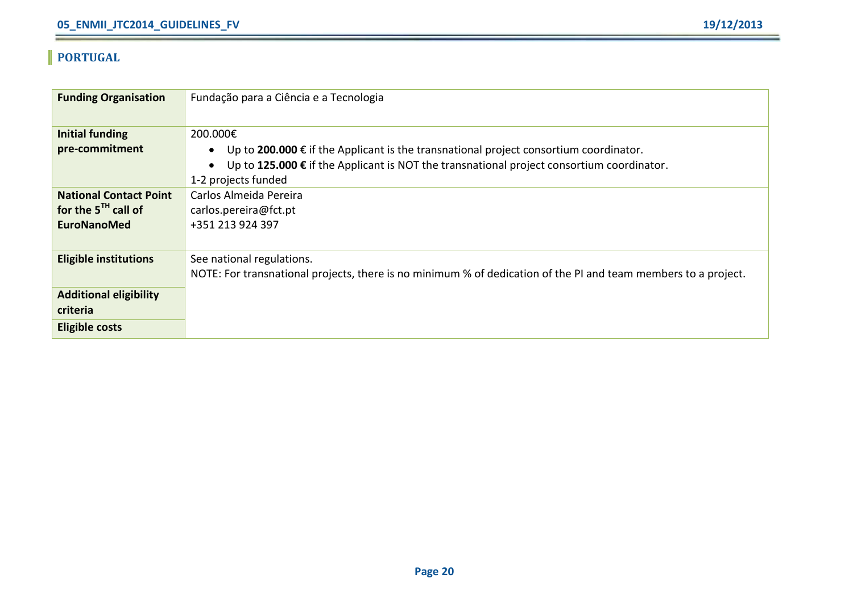### **PORTUGAL**

| <b>Funding Organisation</b>   | Fundação para a Ciência e a Tecnologia                                                                         |
|-------------------------------|----------------------------------------------------------------------------------------------------------------|
|                               |                                                                                                                |
| <b>Initial funding</b>        | 200.000€                                                                                                       |
| pre-commitment                | Up to 200.000 € if the Applicant is the transnational project consortium coordinator.<br>$\bullet$             |
|                               | Up to 125.000 € if the Applicant is NOT the transnational project consortium coordinator.<br>$\bullet$         |
|                               | 1-2 projects funded                                                                                            |
| <b>National Contact Point</b> | Carlos Almeida Pereira                                                                                         |
| for the $5^{th}$ call of      | carlos.pereira@fct.pt                                                                                          |
| <b>EuroNanoMed</b>            | +351 213 924 397                                                                                               |
|                               |                                                                                                                |
| <b>Eligible institutions</b>  | See national regulations.                                                                                      |
|                               | NOTE: For transnational projects, there is no minimum % of dedication of the PI and team members to a project. |
| <b>Additional eligibility</b> |                                                                                                                |
| criteria                      |                                                                                                                |
| <b>Eligible costs</b>         |                                                                                                                |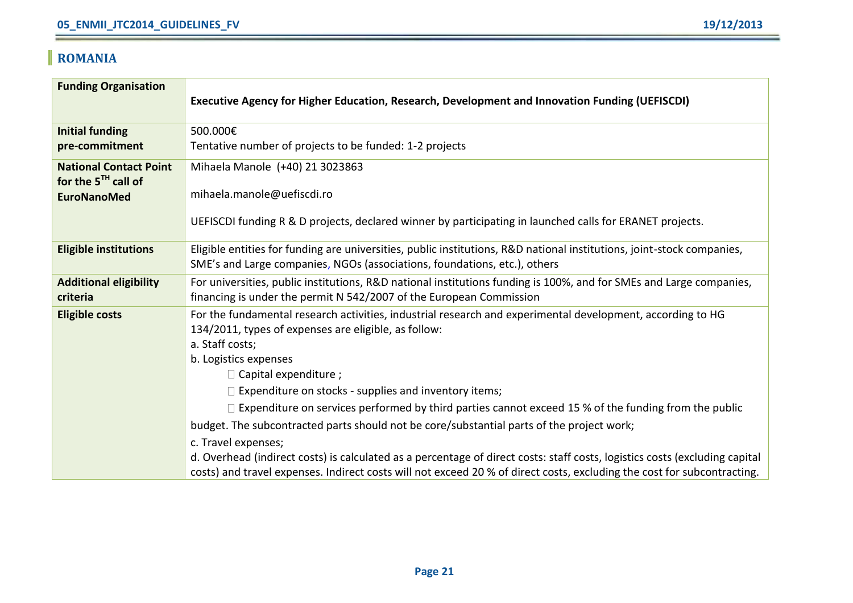# **ROMANIA**

| <b>Funding Organisation</b>                               | Executive Agency for Higher Education, Research, Development and Innovation Funding (UEFISCDI)                                                                                                                                                         |
|-----------------------------------------------------------|--------------------------------------------------------------------------------------------------------------------------------------------------------------------------------------------------------------------------------------------------------|
| <b>Initial funding</b>                                    | 500.000€                                                                                                                                                                                                                                               |
| pre-commitment                                            | Tentative number of projects to be funded: 1-2 projects                                                                                                                                                                                                |
| <b>National Contact Point</b><br>for the $5^{TH}$ call of | Mihaela Manole (+40) 21 3023863                                                                                                                                                                                                                        |
| <b>EuroNanoMed</b>                                        | mihaela.manole@uefiscdi.ro                                                                                                                                                                                                                             |
|                                                           | UEFISCDI funding R & D projects, declared winner by participating in launched calls for ERANET projects.                                                                                                                                               |
| <b>Eligible institutions</b>                              | Eligible entities for funding are universities, public institutions, R&D national institutions, joint-stock companies,<br>SME's and Large companies, NGOs (associations, foundations, etc.), others                                                    |
| <b>Additional eligibility</b><br>criteria                 | For universities, public institutions, R&D national institutions funding is 100%, and for SMEs and Large companies,<br>financing is under the permit N 542/2007 of the European Commission                                                             |
| <b>Eligible costs</b>                                     | For the fundamental research activities, industrial research and experimental development, according to HG<br>134/2011, types of expenses are eligible, as follow:<br>a. Staff costs;<br>b. Logistics expenses<br>$\Box$ Capital expenditure ;         |
|                                                           | $\Box$ Expenditure on stocks - supplies and inventory items;                                                                                                                                                                                           |
|                                                           | $\Box$ Expenditure on services performed by third parties cannot exceed 15 % of the funding from the public                                                                                                                                            |
|                                                           | budget. The subcontracted parts should not be core/substantial parts of the project work;                                                                                                                                                              |
|                                                           | c. Travel expenses;                                                                                                                                                                                                                                    |
|                                                           | d. Overhead (indirect costs) is calculated as a percentage of direct costs: staff costs, logistics costs (excluding capital<br>costs) and travel expenses. Indirect costs will not exceed 20 % of direct costs, excluding the cost for subcontracting. |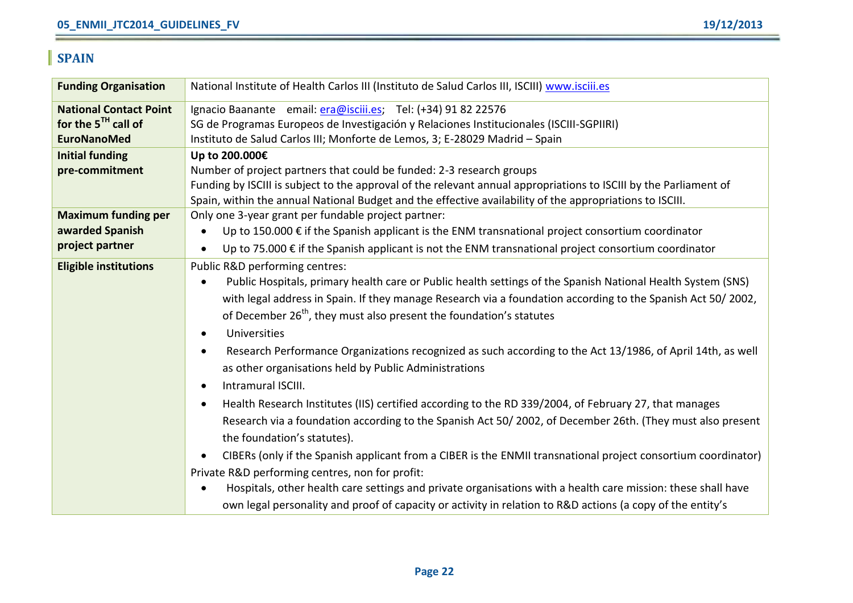# **SPAIN**

| <b>Funding Organisation</b>   | National Institute of Health Carlos III (Instituto de Salud Carlos III, ISCIII) www.isciii.es                      |
|-------------------------------|--------------------------------------------------------------------------------------------------------------------|
| <b>National Contact Point</b> | Ignacio Baanante email: era@isciii.es; Tel: (+34) 91 82 22576                                                      |
| for the $5^{TH}$ call of      | SG de Programas Europeos de Investigación y Relaciones Institucionales (ISCIII-SGPIIRI)                            |
| <b>EuroNanoMed</b>            | Instituto de Salud Carlos III; Monforte de Lemos, 3; E-28029 Madrid - Spain                                        |
| <b>Initial funding</b>        | Up to 200.000€                                                                                                     |
| pre-commitment                | Number of project partners that could be funded: 2-3 research groups                                               |
|                               | Funding by ISCIII is subject to the approval of the relevant annual appropriations to ISCIII by the Parliament of  |
|                               | Spain, within the annual National Budget and the effective availability of the appropriations to ISCIII.           |
| <b>Maximum funding per</b>    | Only one 3-year grant per fundable project partner:                                                                |
| awarded Spanish               | Up to 150.000 € if the Spanish applicant is the ENM transnational project consortium coordinator                   |
| project partner               | Up to 75.000 $\epsilon$ if the Spanish applicant is not the ENM transnational project consortium coordinator       |
| <b>Eligible institutions</b>  | Public R&D performing centres:                                                                                     |
|                               | Public Hospitals, primary health care or Public health settings of the Spanish National Health System (SNS)        |
|                               | with legal address in Spain. If they manage Research via a foundation according to the Spanish Act 50/2002,        |
|                               | of December 26 <sup>th</sup> , they must also present the foundation's statutes                                    |
|                               | Universities                                                                                                       |
|                               | Research Performance Organizations recognized as such according to the Act 13/1986, of April 14th, as well         |
|                               | as other organisations held by Public Administrations                                                              |
|                               | Intramural ISCIII.                                                                                                 |
|                               | Health Research Institutes (IIS) certified according to the RD 339/2004, of February 27, that manages<br>$\bullet$ |
|                               | Research via a foundation according to the Spanish Act 50/2002, of December 26th. (They must also present          |
|                               | the foundation's statutes).                                                                                        |
|                               | CIBERs (only if the Spanish applicant from a CIBER is the ENMII transnational project consortium coordinator)      |
|                               | Private R&D performing centres, non for profit:                                                                    |
|                               | Hospitals, other health care settings and private organisations with a health care mission: these shall have       |
|                               | own legal personality and proof of capacity or activity in relation to R&D actions (a copy of the entity's         |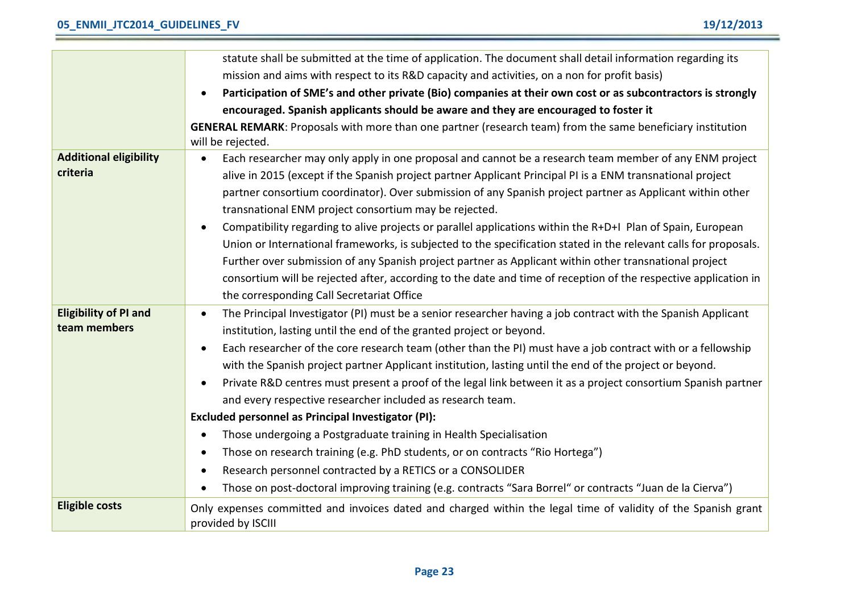|                                           | statute shall be submitted at the time of application. The document shall detail information regarding its                                                                                                                                                                                                                                                                                                                                                                                                                                                                                                                                                                                                                                                                                                                                                              |
|-------------------------------------------|-------------------------------------------------------------------------------------------------------------------------------------------------------------------------------------------------------------------------------------------------------------------------------------------------------------------------------------------------------------------------------------------------------------------------------------------------------------------------------------------------------------------------------------------------------------------------------------------------------------------------------------------------------------------------------------------------------------------------------------------------------------------------------------------------------------------------------------------------------------------------|
|                                           | mission and aims with respect to its R&D capacity and activities, on a non for profit basis)                                                                                                                                                                                                                                                                                                                                                                                                                                                                                                                                                                                                                                                                                                                                                                            |
|                                           | Participation of SME's and other private (Bio) companies at their own cost or as subcontractors is strongly                                                                                                                                                                                                                                                                                                                                                                                                                                                                                                                                                                                                                                                                                                                                                             |
|                                           | encouraged. Spanish applicants should be aware and they are encouraged to foster it                                                                                                                                                                                                                                                                                                                                                                                                                                                                                                                                                                                                                                                                                                                                                                                     |
|                                           | GENERAL REMARK: Proposals with more than one partner (research team) from the same beneficiary institution<br>will be rejected.                                                                                                                                                                                                                                                                                                                                                                                                                                                                                                                                                                                                                                                                                                                                         |
| <b>Additional eligibility</b><br>criteria | Each researcher may only apply in one proposal and cannot be a research team member of any ENM project<br>alive in 2015 (except if the Spanish project partner Applicant Principal PI is a ENM transnational project<br>partner consortium coordinator). Over submission of any Spanish project partner as Applicant within other<br>transnational ENM project consortium may be rejected.<br>Compatibility regarding to alive projects or parallel applications within the R+D+I Plan of Spain, European<br>$\bullet$<br>Union or International frameworks, is subjected to the specification stated in the relevant calls for proposals.<br>Further over submission of any Spanish project partner as Applicant within other transnational project<br>consortium will be rejected after, according to the date and time of reception of the respective application in |
| <b>Eligibility of PI and</b>              | the corresponding Call Secretariat Office<br>The Principal Investigator (PI) must be a senior researcher having a job contract with the Spanish Applicant                                                                                                                                                                                                                                                                                                                                                                                                                                                                                                                                                                                                                                                                                                               |
| team members                              | institution, lasting until the end of the granted project or beyond.                                                                                                                                                                                                                                                                                                                                                                                                                                                                                                                                                                                                                                                                                                                                                                                                    |
|                                           | Each researcher of the core research team (other than the PI) must have a job contract with or a fellowship<br>$\bullet$<br>with the Spanish project partner Applicant institution, lasting until the end of the project or beyond.<br>Private R&D centres must present a proof of the legal link between it as a project consortium Spanish partner<br>and every respective researcher included as research team.                                                                                                                                                                                                                                                                                                                                                                                                                                                      |
|                                           | Excluded personnel as Principal Investigator (PI):                                                                                                                                                                                                                                                                                                                                                                                                                                                                                                                                                                                                                                                                                                                                                                                                                      |
|                                           | Those undergoing a Postgraduate training in Health Specialisation                                                                                                                                                                                                                                                                                                                                                                                                                                                                                                                                                                                                                                                                                                                                                                                                       |
|                                           | Those on research training (e.g. PhD students, or on contracts "Rio Hortega")                                                                                                                                                                                                                                                                                                                                                                                                                                                                                                                                                                                                                                                                                                                                                                                           |
|                                           | Research personnel contracted by a RETICS or a CONSOLIDER                                                                                                                                                                                                                                                                                                                                                                                                                                                                                                                                                                                                                                                                                                                                                                                                               |
|                                           | Those on post-doctoral improving training (e.g. contracts "Sara Borrel" or contracts "Juan de la Cierva")                                                                                                                                                                                                                                                                                                                                                                                                                                                                                                                                                                                                                                                                                                                                                               |
| <b>Eligible costs</b>                     | Only expenses committed and invoices dated and charged within the legal time of validity of the Spanish grant<br>provided by ISCIII                                                                                                                                                                                                                                                                                                                                                                                                                                                                                                                                                                                                                                                                                                                                     |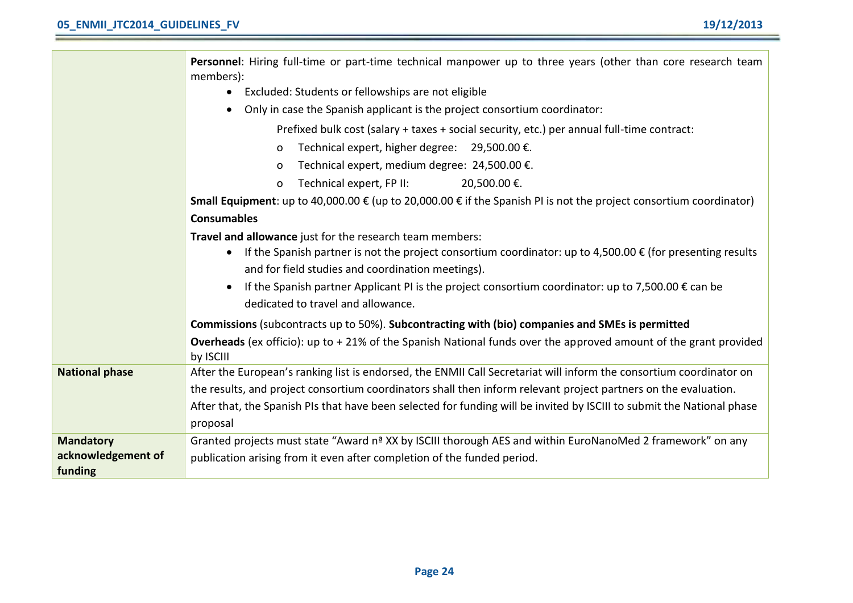|                       | Personnel: Hiring full-time or part-time technical manpower up to three years (other than core research team<br>members):        |
|-----------------------|----------------------------------------------------------------------------------------------------------------------------------|
|                       | Excluded: Students or fellowships are not eligible                                                                               |
|                       | Only in case the Spanish applicant is the project consortium coordinator:                                                        |
|                       | Prefixed bulk cost (salary + taxes + social security, etc.) per annual full-time contract:                                       |
|                       | Technical expert, higher degree: 29,500.00 €.<br>0                                                                               |
|                       | Technical expert, medium degree: 24,500.00 €.<br>0                                                                               |
|                       | Technical expert, FP II:<br>20,500.00 €.<br>0                                                                                    |
|                       | <b>Small Equipment</b> : up to 40,000.00 € (up to 20,000.00 € if the Spanish PI is not the project consortium coordinator)       |
|                       | <b>Consumables</b>                                                                                                               |
|                       | Travel and allowance just for the research team members:                                                                         |
|                       | If the Spanish partner is not the project consortium coordinator: up to 4,500.00 $\epsilon$ (for presenting results<br>$\bullet$ |
|                       | and for field studies and coordination meetings).                                                                                |
|                       | If the Spanish partner Applicant PI is the project consortium coordinator: up to 7,500.00 $\epsilon$ can be                      |
|                       | dedicated to travel and allowance.                                                                                               |
|                       | Commissions (subcontracts up to 50%). Subcontracting with (bio) companies and SMEs is permitted                                  |
|                       | Overheads (ex officio): up to +21% of the Spanish National funds over the approved amount of the grant provided<br>by ISCIII     |
| <b>National phase</b> | After the European's ranking list is endorsed, the ENMII Call Secretariat will inform the consortium coordinator on              |
|                       | the results, and project consortium coordinators shall then inform relevant project partners on the evaluation.                  |
|                       | After that, the Spanish PIs that have been selected for funding will be invited by ISCIII to submit the National phase           |
|                       | proposal                                                                                                                         |
| <b>Mandatory</b>      | Granted projects must state "Award n <sup>ª</sup> XX by ISCIII thorough AES and within EuroNanoMed 2 framework" on any           |
| acknowledgement of    | publication arising from it even after completion of the funded period.                                                          |
| funding               |                                                                                                                                  |